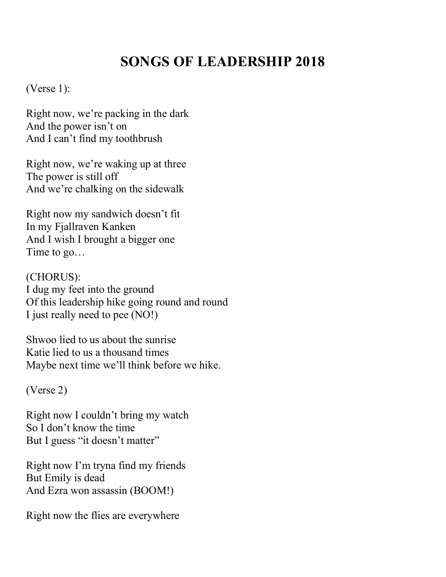## **SONGS OF LEADERSHIP 2018**

(Verse 1):

Right now, we're packing in the dark And the power isn't on And I can't find my toothbrush

Right now, we're waking up at three The power is still off And we're chalking on the sidewalk

Right now my sandwich doesn't fit In my Fjallraven Kanken And I wish I brought a bigger one Time to go…

(CHORUS): I dug my feet into the ground Of this leadership hike going round and round I just really need to pee (NO!)

Shwoo lied to us about the sunrise Katie lied to us a thousand times Maybe next time we'll think before we hike.

(Verse 2)

Right now I couldn't bring my watch So I don't know the time But I guess "it doesn't matter"

Right now I'm tryna find my friends But Emily is dead And Ezra won assassin (BOOM!)

Right now the flies are everywhere